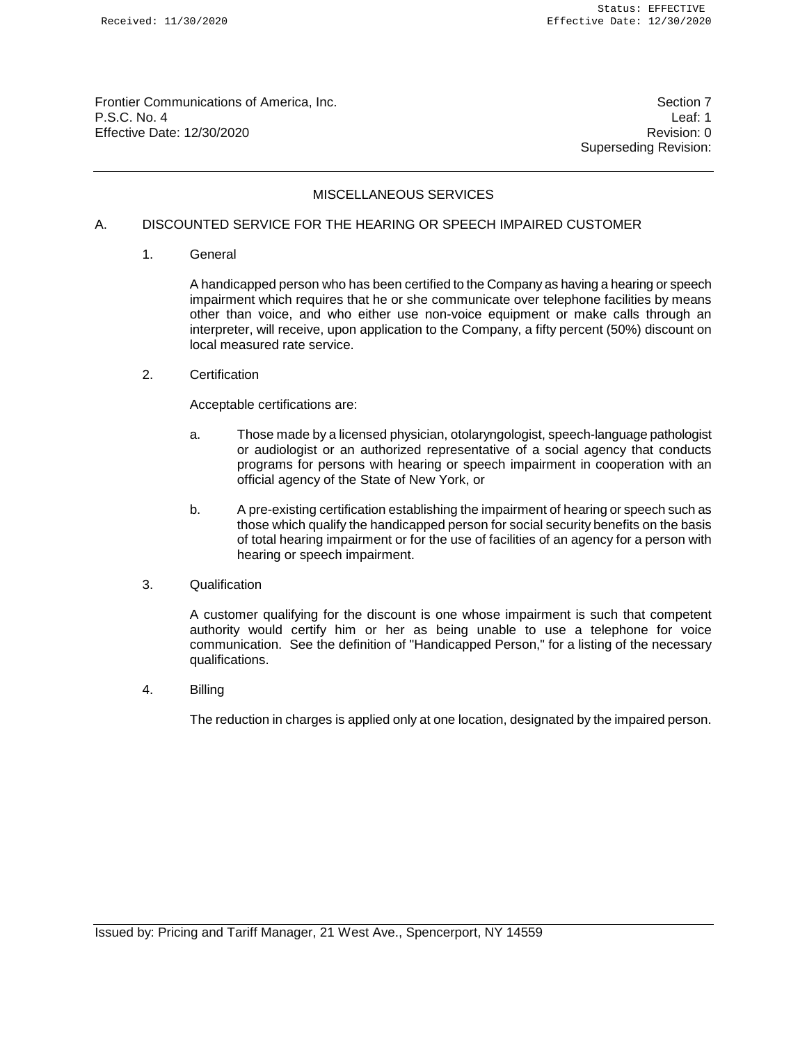Frontier Communications of America, Inc. Section 7 Number 2012 19:30 Number 2014 P.S.C. No. 4 Leaf: 1 Effective Date: 12/30/2020 Revision: 0

Superseding Revision:

# MISCELLANEOUS SERVICES

# A. DISCOUNTED SERVICE FOR THE HEARING OR SPEECH IMPAIRED CUSTOMER

1. General

A handicapped person who has been certified to the Company as having a hearing or speech impairment which requires that he or she communicate over telephone facilities by means other than voice, and who either use non-voice equipment or make calls through an interpreter, will receive, upon application to the Company, a fifty percent (50%) discount on local measured rate service.

2. Certification

Acceptable certifications are:

- a. Those made by a licensed physician, otolaryngologist, speech-language pathologist or audiologist or an authorized representative of a social agency that conducts programs for persons with hearing or speech impairment in cooperation with an official agency of the State of New York, or
- b. A pre-existing certification establishing the impairment of hearing or speech such as those which qualify the handicapped person for social security benefits on the basis of total hearing impairment or for the use of facilities of an agency for a person with hearing or speech impairment.
- 3. Qualification

A customer qualifying for the discount is one whose impairment is such that competent authority would certify him or her as being unable to use a telephone for voice communication. See the definition of "Handicapped Person," for a listing of the necessary qualifications.

4. Billing

The reduction in charges is applied only at one location, designated by the impaired person.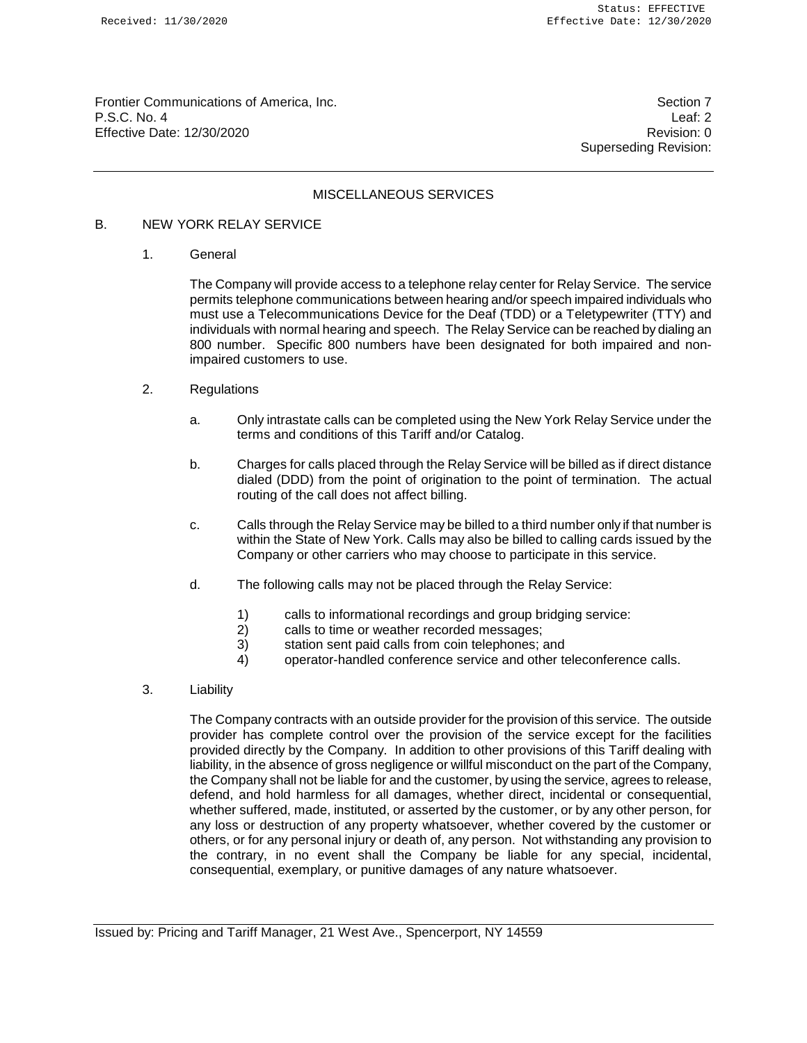Frontier Communications of America, Inc. Section 7 Number 2012 19:30 Number 2014 P.S.C. No. 4 Leaf: 2 Effective Date: 12/30/2020 **Revision: 0** 

Superseding Revision:

## MISCELLANEOUS SERVICES

## B. NEW YORK RELAY SERVICE

1. General

The Company will provide access to a telephone relay center for Relay Service. The service permits telephone communications between hearing and/or speech impaired individuals who must use a Telecommunications Device for the Deaf (TDD) or a Teletypewriter (TTY) and individuals with normal hearing and speech. The Relay Service can be reached by dialing an 800 number. Specific 800 numbers have been designated for both impaired and nonimpaired customers to use.

- 2. Regulations
	- a. Only intrastate calls can be completed using the New York Relay Service under the terms and conditions of this Tariff and/or Catalog.
	- b. Charges for calls placed through the Relay Service will be billed as if direct distance dialed (DDD) from the point of origination to the point of termination. The actual routing of the call does not affect billing.
	- c. Calls through the Relay Service may be billed to a third number only if that number is within the State of New York. Calls may also be billed to calling cards issued by the Company or other carriers who may choose to participate in this service.
	- d. The following calls may not be placed through the Relay Service:
		- 1) calls to informational recordings and group bridging service:
		- 2) calls to time or weather recorded messages;
		- 3) station sent paid calls from coin telephones; and
		- 4) operator-handled conference service and other teleconference calls.
- 3. Liability

The Company contracts with an outside provider for the provision of this service. The outside provider has complete control over the provision of the service except for the facilities provided directly by the Company. In addition to other provisions of this Tariff dealing with liability, in the absence of gross negligence or willful misconduct on the part of the Company, the Company shall not be liable for and the customer, by using the service, agrees to release, defend, and hold harmless for all damages, whether direct, incidental or consequential, whether suffered, made, instituted, or asserted by the customer, or by any other person, for any loss or destruction of any property whatsoever, whether covered by the customer or others, or for any personal injury or death of, any person. Not withstanding any provision to the contrary, in no event shall the Company be liable for any special, incidental, consequential, exemplary, or punitive damages of any nature whatsoever.